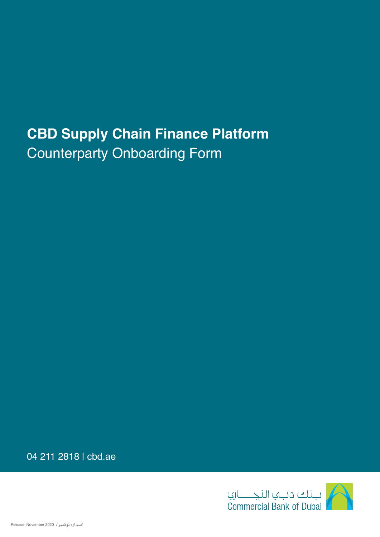## **CBD Supply Chain Finance Platform** Counterparty Onboarding Form

04 211 2818 | cbd.ae

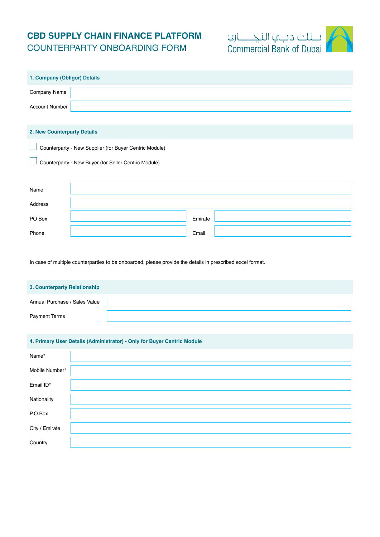## **CBD SUPPLY CHAIN FINANCE PLATFORM** COUNTERPARTY ONBOARDING FORM



| 1. Company (Obligor) Details |                                                        |
|------------------------------|--------------------------------------------------------|
| Company Name                 |                                                        |
| <b>Account Number</b>        |                                                        |
|                              |                                                        |
| 2. New Counterparty Details  |                                                        |
|                              | Counterparty - New Supplier (for Buyer Centric Module) |
|                              | Counterparty - New Buyer (for Seller Centric Module)   |
|                              |                                                        |
| Name                         |                                                        |
| Address                      |                                                        |
| PO Box                       | Emirate                                                |
| Phone                        | Email                                                  |

In case of multiple counterparties to be onboarded, please provide the details in prescribed excel format.

| 3. Counterparty Relationship  |  |
|-------------------------------|--|
| Annual Purchase / Sales Value |  |
| <b>Payment Terms</b>          |  |

## **4. Primary User Details (Administrator) - Only for Buyer Centric Module**

| Name*          |  |
|----------------|--|
| Mobile Number* |  |
| Email ID*      |  |
| Nationality    |  |
| P.O.Box        |  |
| City / Emirate |  |
| Country        |  |